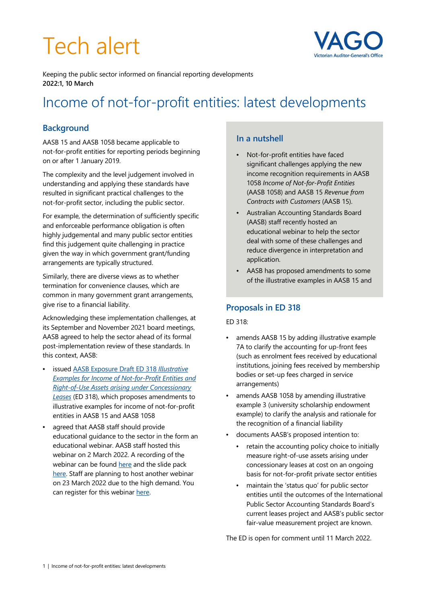# Tech alert



Keeping the public sector informed on financial reporting developments **2022:1, 10 March**

# Income of not-for-profit entities: latest developments

# **Background**

AASB 15 and AASB 1058 became applicable to not-for-profit entities for reporting periods beginning on or after 1 January 2019.

The complexity and the level judgement involved in understanding and applying these standards have resulted in significant practical challenges to the not-for-profit sector, including the public sector.

For example, the determination of sufficiently specific and enforceable performance obligation is often highly judgemental and many public sector entities find this judgement quite challenging in practice given the way in which government grant/funding arrangements are typically structured.

Similarly, there are diverse views as to whether termination for convenience clauses, which are common in many government grant arrangements, give rise to a financial liability.

Acknowledging these implementation challenges, at its September and November 2021 board meetings, AASB agreed to help the sector ahead of its formal post-implementation review of these standards. In this context, AASB:

- issued AASB Exposure Draft ED 318 *Illustrative Examples for Income of Not-for-Profit Entities and Right-of-Use Assets arising under Concessionary Leases* (ED 318), which proposes amendments to illustrative examples for income of not-for-profit entities in AASB 15 and AASB 1058
- agreed that AASB staff should provide educational guidance to the sector in the form an educational webinar. AASB staff hosted this webinar on 2 March 2022. A recording of the webinar can be found here and the slide pack here. Staff are planning to host another webinar on 23 March 2022 due to the high demand. You can register for this webinar here.

#### **In a nutshell**

- Not-for-profit entities have faced significant challenges applying the new income recognition requirements in AASB 1058 *Income of Not-for-Profit Entities* (AASB 1058) and AASB 15 *Revenue from Contracts with Customers* (AASB 15).
- Australian Accounting Standards Board (AASB) staff recently hosted an educational webinar to help the sector deal with some of these challenges and reduce divergence in interpretation and application.
- AASB has proposed amendments to some of the illustrative examples in AASB 15 and

#### **Proposals in ED 318**

#### ED 318:

- amends AASB 15 by adding illustrative example 7A to clarify the accounting for up-front fees (such as enrolment fees received by educational institutions, joining fees received by membership bodies or set-up fees charged in service arrangements)
- amends AASB 1058 by amending illustrative example 3 (university scholarship endowment example) to clarify the analysis and rationale for the recognition of a financial liability
- documents AASB's proposed intention to:
	- retain the accounting policy choice to initially measure right-of-use assets arising under concessionary leases at cost on an ongoing basis for not-for-profit private sector entities
	- maintain the 'status quo' for public sector entities until the outcomes of the International Public Sector Accounting Standards Board's current leases project and AASB's public sector fair-value measurement project are known.

The ED is open for comment until 11 March 2022.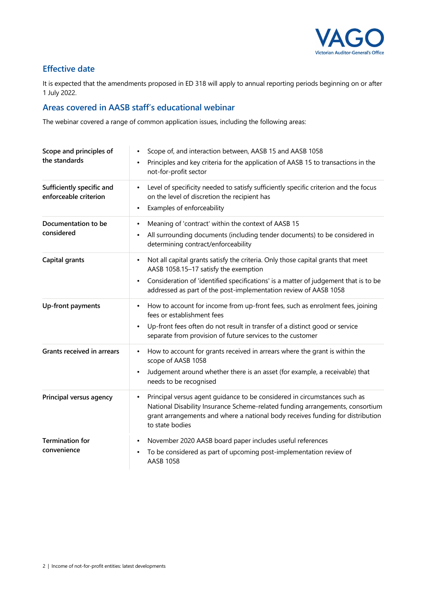

# **Effective date**

It is expected that the amendments proposed in ED 318 will apply to annual reporting periods beginning on or after 1 July 2022.

# **Areas covered in AASB staff's educational webinar**

The webinar covered a range of common application issues, including the following areas:

| Scope and principles of<br>the standards           | Scope of, and interaction between, AASB 15 and AASB 1058<br>Principles and key criteria for the application of AASB 15 to transactions in the<br>not-for-profit sector                                                                                                                                 |
|----------------------------------------------------|--------------------------------------------------------------------------------------------------------------------------------------------------------------------------------------------------------------------------------------------------------------------------------------------------------|
| Sufficiently specific and<br>enforceable criterion | Level of specificity needed to satisfy sufficiently specific criterion and the focus<br>$\bullet$<br>on the level of discretion the recipient has<br>Examples of enforceability<br>٠                                                                                                                   |
| Documentation to be<br>considered                  | Meaning of 'contract' within the context of AASB 15<br>$\bullet$<br>All surrounding documents (including tender documents) to be considered in<br>$\bullet$<br>determining contract/enforceability                                                                                                     |
| Capital grants                                     | Not all capital grants satisfy the criteria. Only those capital grants that meet<br>٠<br>AASB 1058.15-17 satisfy the exemption<br>Consideration of 'identified specifications' is a matter of judgement that is to be<br>$\bullet$<br>addressed as part of the post-implementation review of AASB 1058 |
| Up-front payments                                  | How to account for income from up-front fees, such as enrolment fees, joining<br>$\bullet$<br>fees or establishment fees<br>Up-front fees often do not result in transfer of a distinct good or service<br>$\bullet$<br>separate from provision of future services to the customer                     |
| <b>Grants received in arrears</b>                  | How to account for grants received in arrears where the grant is within the<br>٠<br>scope of AASB 1058<br>Judgement around whether there is an asset (for example, a receivable) that<br>needs to be recognised                                                                                        |
| Principal versus agency                            | Principal versus agent guidance to be considered in circumstances such as<br>$\bullet$<br>National Disability Insurance Scheme-related funding arrangements, consortium<br>grant arrangements and where a national body receives funding for distribution<br>to state bodies                           |
| <b>Termination for</b><br>convenience              | November 2020 AASB board paper includes useful references<br>$\bullet$<br>To be considered as part of upcoming post-implementation review of<br><b>AASB 1058</b>                                                                                                                                       |